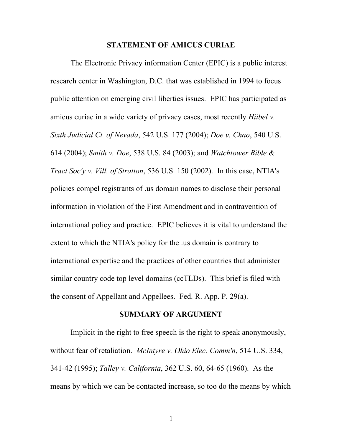### **STATEMENT OF AMICUS CURIAE**

The Electronic Privacy information Center (EPIC) is a public interest research center in Washington, D.C. that was established in 1994 to focus public attention on emerging civil liberties issues. EPIC has participated as amicus curiae in a wide variety of privacy cases, most recently *Hiibel v. Sixth Judicial Ct. of Nevada*, 542 U.S. 177 (2004); *Doe v. Chao*, 540 U.S. 614 (2004); *Smith v. Doe*, 538 U.S. 84 (2003); and *Watchtower Bible & Tract Soc'y v. Vill. of Stratton*, 536 U.S. 150 (2002). In this case, NTIA's policies compel registrants of .us domain names to disclose their personal information in violation of the First Amendment and in contravention of international policy and practice. EPIC believes it is vital to understand the extent to which the NTIA's policy for the .us domain is contrary to international expertise and the practices of other countries that administer similar country code top level domains (ccTLDs). This brief is filed with the consent of Appellant and Appellees. Fed. R. App. P. 29(a).

#### **SUMMARY OF ARGUMENT**

Implicit in the right to free speech is the right to speak anonymously, without fear of retaliation. *McIntyre v. Ohio Elec. Comm'n*, 514 U.S. 334, 341-42 (1995); *Talley v. California*, 362 U.S. 60, 64-65 (1960). As the means by which we can be contacted increase, so too do the means by which

1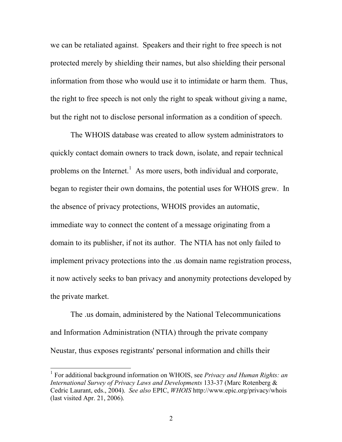we can be retaliated against. Speakers and their right to free speech is not protected merely by shielding their names, but also shielding their personal information from those who would use it to intimidate or harm them. Thus, the right to free speech is not only the right to speak without giving a name, but the right not to disclose personal information as a condition of speech.

The WHOIS database was created to allow system administrators to quickly contact domain owners to track down, isolate, and repair technical problems on the Internet.<sup>1</sup> As more users, both individual and corporate, began to register their own domains, the potential uses for WHOIS grew. In the absence of privacy protections, WHOIS provides an automatic, immediate way to connect the content of a message originating from a domain to its publisher, if not its author. The NTIA has not only failed to implement privacy protections into the .us domain name registration process, it now actively seeks to ban privacy and anonymity protections developed by the private market.

The .us domain, administered by the National Telecommunications and Information Administration (NTIA) through the private company Neustar, thus exposes registrants' personal information and chills their

 <sup>1</sup> For additional background information on WHOIS, see *Privacy and Human Rights: an International Survey of Privacy Laws and Developments* 133-37 (Marc Rotenberg & Cedric Laurant, eds., 2004). *See also* EPIC, *WHOIS* http://www.epic.org/privacy/whois (last visited Apr. 21, 2006).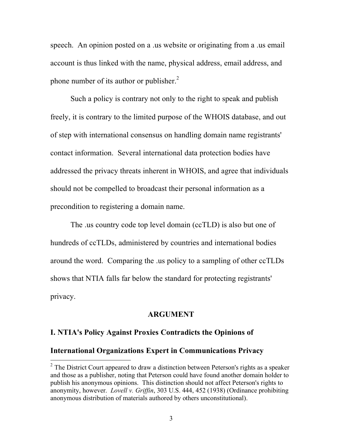speech. An opinion posted on a .us website or originating from a .us email account is thus linked with the name, physical address, email address, and phone number of its author or publisher.<sup>2</sup>

Such a policy is contrary not only to the right to speak and publish freely, it is contrary to the limited purpose of the WHOIS database, and out of step with international consensus on handling domain name registrants' contact information. Several international data protection bodies have addressed the privacy threats inherent in WHOIS, and agree that individuals should not be compelled to broadcast their personal information as a precondition to registering a domain name.

The .us country code top level domain (ccTLD) is also but one of hundreds of ccTLDs, administered by countries and international bodies around the word. Comparing the .us policy to a sampling of other ccTLDs shows that NTIA falls far below the standard for protecting registrants' privacy.

### **ARGUMENT**

### **I. NTIA's Policy Against Proxies Contradicts the Opinions of**

### **International Organizations Expert in Communications Privacy**

 $2$  The District Court appeared to draw a distinction between Peterson's rights as a speaker and those as a publisher, noting that Peterson could have found another domain holder to publish his anonymous opinions. This distinction should not affect Peterson's rights to anonymity, however. *Lovell v. Griffin*, 303 U.S. 444, 452 (1938) (Ordinance prohibiting anonymous distribution of materials authored by others unconstitutional).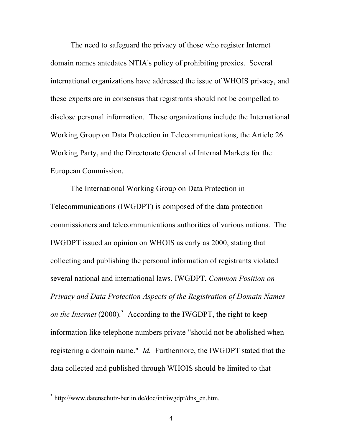The need to safeguard the privacy of those who register Internet domain names antedates NTIA's policy of prohibiting proxies. Several international organizations have addressed the issue of WHOIS privacy, and these experts are in consensus that registrants should not be compelled to disclose personal information. These organizations include the International Working Group on Data Protection in Telecommunications, the Article 26 Working Party, and the Directorate General of Internal Markets for the European Commission.

The International Working Group on Data Protection in Telecommunications (IWGDPT) is composed of the data protection commissioners and telecommunications authorities of various nations. The IWGDPT issued an opinion on WHOIS as early as 2000, stating that collecting and publishing the personal information of registrants violated several national and international laws. IWGDPT, *Common Position on Privacy and Data Protection Aspects of the Registration of Domain Names on the Internet* (2000). <sup>3</sup> According to the IWGDPT, the right to keep information like telephone numbers private "should not be abolished when registering a domain name." *Id.* Furthermore, the IWGDPT stated that the data collected and published through WHOIS should be limited to that

<sup>&</sup>lt;sup>3</sup> http://www.datenschutz-berlin.de/doc/int/iwgdpt/dns\_en.htm.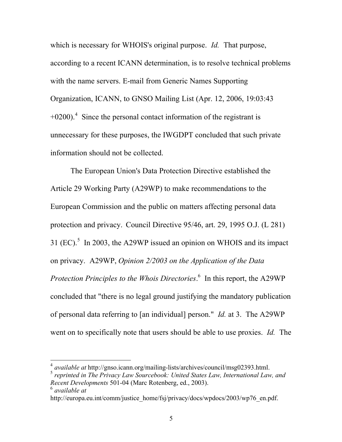which is necessary for WHOIS's original purpose. *Id.* That purpose, according to a recent ICANN determination, is to resolve technical problems with the name servers. E-mail from Generic Names Supporting Organization, ICANN, to GNSO Mailing List (Apr. 12, 2006, 19:03:43  $+0200$ ).<sup>4</sup> Since the personal contact information of the registrant is unnecessary for these purposes, the IWGDPT concluded that such private information should not be collected.

The European Union's Data Protection Directive established the Article 29 Working Party (A29WP) to make recommendations to the European Commission and the public on matters affecting personal data protection and privacy. Council Directive 95/46, art. 29, 1995 O.J. (L 281) 31  $(EC)$ <sup>5</sup> In 2003, the A29WP issued an opinion on WHOIS and its impact on privacy. A29WP, *Opinion 2/2003 on the Application of the Data Protection Principles to the Whois Directories*. <sup>6</sup> In this report, the A29WP concluded that "there is no legal ground justifying the mandatory publication of personal data referring to [an individual] person." *Id.* at 3. The A29WP went on to specifically note that users should be able to use proxies. *Id.* The

 $\frac{1}{4}$ *available at* http://gnso.icann.org/mailing-lists/archives/council/msg02393.html. <sup>5</sup>

*reprinted in The Privacy Law Sourcebook: United States Law, International Law, and Recent Developments* 501-04 (Marc Rotenberg, ed., 2003).

*available at*

http://europa.eu.int/comm/justice\_home/fsj/privacy/docs/wpdocs/2003/wp76\_en.pdf.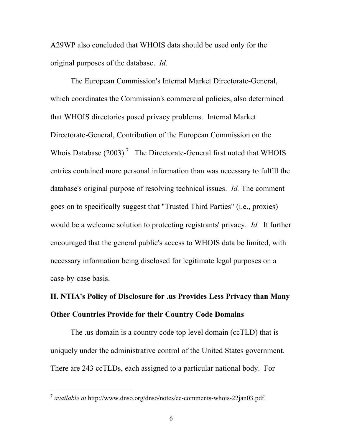A29WP also concluded that WHOIS data should be used only for the original purposes of the database. *Id.*

The European Commission's Internal Market Directorate-General, which coordinates the Commission's commercial policies, also determined that WHOIS directories posed privacy problems. Internal Market Directorate-General, Contribution of the European Commission on the Whois Database  $(2003)$ .<sup>7</sup> The Directorate-General first noted that WHOIS entries contained more personal information than was necessary to fulfill the database's original purpose of resolving technical issues. *Id.* The comment goes on to specifically suggest that "Trusted Third Parties" (i.e., proxies) would be a welcome solution to protecting registrants' privacy. *Id.* It further encouraged that the general public's access to WHOIS data be limited, with necessary information being disclosed for legitimate legal purposes on a case-by-case basis.

# **II. NTIA's Policy of Disclosure for .us Provides Less Privacy than Many Other Countries Provide for their Country Code Domains**

The .us domain is a country code top level domain (ccTLD) that is uniquely under the administrative control of the United States government. There are 243 ccTLDs, each assigned to a particular national body. For

 <sup>7</sup> *available at* http://www.dnso.org/dnso/notes/ec-comments-whois-22jan03.pdf.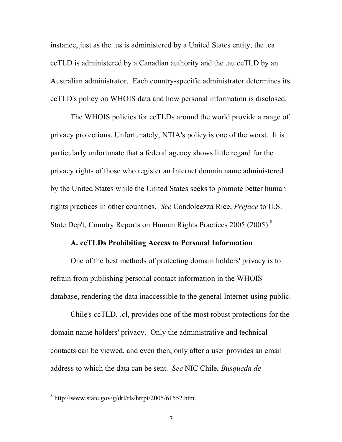instance, just as the .us is administered by a United States entity, the .ca ccTLD is administered by a Canadian authority and the .au ccTLD by an Australian administrator. Each country-specific administrator determines its ccTLD's policy on WHOIS data and how personal information is disclosed.

The WHOIS policies for ccTLDs around the world provide a range of privacy protections. Unfortunately, NTIA's policy is one of the worst. It is particularly unfortunate that a federal agency shows little regard for the privacy rights of those who register an Internet domain name administered by the United States while the United States seeks to promote better human rights practices in other countries. *See* Condoleezza Rice, *Preface* to U.S. State Dep't, Country Reports on Human Rights Practices 2005 (2005).<sup>8</sup>

### **A. ccTLDs Prohibiting Access to Personal Information**

One of the best methods of protecting domain holders' privacy is to refrain from publishing personal contact information in the WHOIS database, rendering the data inaccessible to the general Internet-using public.

Chile's ccTLD, .cl, provides one of the most robust protections for the domain name holders' privacy. Only the administrative and technical contacts can be viewed, and even then, only after a user provides an email address to which the data can be sent. *See* NIC Chile, *Busqueda de*

 $8 \text{ http://www.state.gov/g/dr1/rls/hrrpt/2005/61552.htm.}$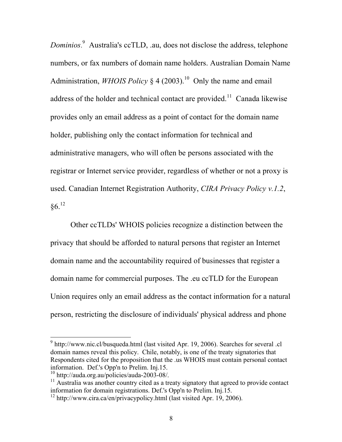*Dominios*. <sup>9</sup> Australia's ccTLD, .au, does not disclose the address, telephone numbers, or fax numbers of domain name holders. Australian Domain Name Administration, *WHOIS Policy* § 4 (2003).<sup>10</sup> Only the name and email address of the holder and technical contact are provided.<sup>11</sup> Canada likewise provides only an email address as a point of contact for the domain name holder, publishing only the contact information for technical and administrative managers, who will often be persons associated with the registrar or Internet service provider, regardless of whether or not a proxy is used. Canadian Internet Registration Authority, *CIRA Privacy Policy v.1.2*,  $86.12$ 

Other ccTLDs' WHOIS policies recognize a distinction between the privacy that should be afforded to natural persons that register an Internet domain name and the accountability required of businesses that register a domain name for commercial purposes. The .eu ccTLD for the European Union requires only an email address as the contact information for a natural person, restricting the disclosure of individuals' physical address and phone

 $9$  http://www.nic.cl/busqueda.html (last visited Apr. 19, 2006). Searches for several .cl domain names reveal this policy. Chile, notably, is one of the treaty signatories that Respondents cited for the proposition that the .us WHOIS must contain personal contact information. Def.'s Opp'n to Prelim. Inj.15.<br><sup>10</sup> http://auda.org.au/policies/auda-2003-08/.

<sup>&</sup>lt;sup>11</sup> Australia was another country cited as a treaty signatory that agreed to provide contact information for domain registrations. Def.'s Opp'n to Prelim. Inj.15.

 $12$  http://www.cira.ca/en/privacypolicy.html (last visited Apr. 19, 2006).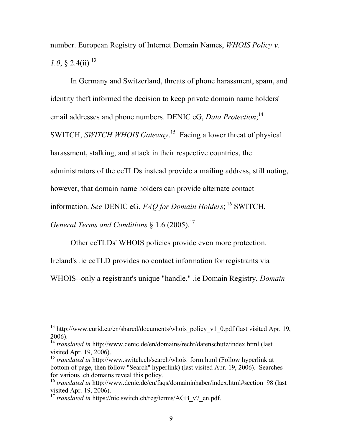number. European Registry of Internet Domain Names, *WHOIS Policy v. 1.0*,  $\frac{2.4}{\text{ii}}$ <sup>13</sup>

In Germany and Switzerland, threats of phone harassment, spam, and identity theft informed the decision to keep private domain name holders' email addresses and phone numbers. DENIC eG, *Data Protection*;<sup>14</sup> SWITCH, *SWITCH WHOIS Gateway*. <sup>15</sup> Facing a lower threat of physical harassment, stalking, and attack in their respective countries, the administrators of the ccTLDs instead provide a mailing address, still noting, however, that domain name holders can provide alternate contact information. *See* DENIC eG, *FAQ for Domain Holders*; <sup>16</sup> SWITCH, *General Terms and Conditions* § 1.6 (2005). 17

Other ccTLDs' WHOIS policies provide even more protection.

Ireland's .ie ccTLD provides no contact information for registrants via

WHOIS--only a registrant's unique "handle." .ie Domain Registry, *Domain* 

<sup>&</sup>lt;sup>13</sup> http://www.eurid.eu/en/shared/documents/whois\_policy\_v1\_0.pdf (last visited Apr. 19,

<sup>2006).</sup> <sup>14</sup> *translated in* http://www.denic.de/en/domains/recht/datenschutz/index.html (last visited Apr. 19, 2006).<br><sup>15</sup> *translated in* http://www.switch.ch/search/whois form.html (Follow hyperlink at

bottom of page, then follow "Search" hyperlink) (last visited Apr. 19, 2006). Searches

<sup>&</sup>lt;sup>16</sup> *translated in* http://www.denic.de/en/faqs/domaininhaber/index.html#section\_98 (last visited Apr. 19, 2006).

<sup>&</sup>lt;sup>17</sup> *translated in* https://nic.switch.ch/reg/terms/AGB\_v7\_en.pdf.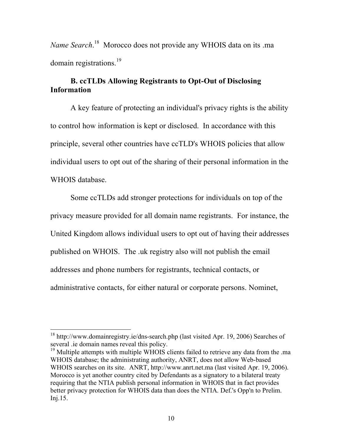*Name Search*. <sup>18</sup> Morocco does not provide any WHOIS data on its .ma domain registrations.<sup>19</sup>

## **B. ccTLDs Allowing Registrants to Opt-Out of Disclosing Information**

A key feature of protecting an individual's privacy rights is the ability to control how information is kept or disclosed. In accordance with this principle, several other countries have ccTLD's WHOIS policies that allow individual users to opt out of the sharing of their personal information in the WHOIS database.

Some ccTLDs add stronger protections for individuals on top of the privacy measure provided for all domain name registrants. For instance, the United Kingdom allows individual users to opt out of having their addresses published on WHOIS. The .uk registry also will not publish the email addresses and phone numbers for registrants, technical contacts, or administrative contacts, for either natural or corporate persons. Nominet,

<sup>&</sup>lt;sup>18</sup> http://www.domainregistry.ie/dns-search.php (last visited Apr. 19, 2006) Searches of several .ie domain names reveal this policy.

 $19$  Multiple attempts with multiple WHOIS clients failed to retrieve any data from the .ma WHOIS database; the administrating authority, ANRT, does not allow Web-based WHOIS searches on its site. ANRT, http://www.anrt.net.ma (last visited Apr. 19, 2006). Morocco is yet another country cited by Defendants as a signatory to a bilateral treaty requiring that the NTIA publish personal information in WHOIS that in fact provides better privacy protection for WHOIS data than does the NTIA. Def.'s Opp'n to Prelim. Inj.15.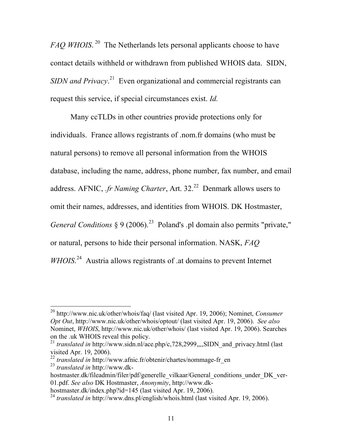*FAQ WHOIS*.<sup>20</sup> The Netherlands lets personal applicants choose to have contact details withheld or withdrawn from published WHOIS data. SIDN, SIDN *and Privacy*.<sup>21</sup> Even organizational and commercial registrants can request this service, if special circumstances exist. *Id.*

Many ccTLDs in other countries provide protections only for individuals. France allows registrants of .nom.fr domains (who must be natural persons) to remove all personal information from the WHOIS database, including the name, address, phone number, fax number, and email address. AFNIC, *fr Naming Charter*, Art. 32<sup>22</sup> Denmark allows users to omit their names, addresses, and identities from WHOIS. DK Hostmaster, *General Conditions* § 9 (2006). <sup>23</sup> Poland's .pl domain also permits "private," or natural, persons to hide their personal information. NASK, *FAQ* WHOIS.<sup>24</sup> Austria allows registrants of .at domains to prevent Internet

 <sup>20</sup> http://www.nic.uk/other/whois/faq/ (last visited Apr. 19, 2006); Nominet, *Consumer Opt Out*, http://www.nic.uk/other/whois/optout/ (last visited Apr. 19, 2006). *See also* Nominet, *WHOIS*, http://www.nic.uk/other/whois/ (last visited Apr. 19, 2006). Searches on the .uk WHOIS reveal this policy.

<sup>&</sup>lt;sup>21</sup> *translated in* http://www.sidn.nl/ace.php/c,728,2999,,,,SIDN and privacy.html (last visited Apr. 19, 2006).<br><sup>22</sup> *translated in* http://www.afnic.fr/obtenir/chartes/nommage-fr\_en

<sup>23</sup> *translated in* http://www.dk-

hostmaster.dk/fileadmin/filer/pdf/generelle\_vilkaar/General\_conditions\_under\_DK\_ver-01.pdf. *See also* DK Hostmaster, *Anonymity*, http://www.dk-

<sup>&</sup>lt;sup>24</sup> *translated in* http://www.dns.pl/english/whois.html (last visited Apr. 19, 2006).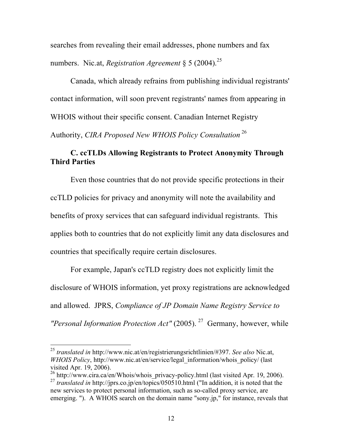searches from revealing their email addresses, phone numbers and fax numbers. Nic.at, *Registration Agreement* § 5 (2004). 25

Canada, which already refrains from publishing individual registrants' contact information, will soon prevent registrants' names from appearing in WHOIS without their specific consent. Canadian Internet Registry Authority, *CIRA Proposed New WHOIS Policy Consultation* 26

## **C. ccTLDs Allowing Registrants to Protect Anonymity Through Third Parties**

Even those countries that do not provide specific protections in their ccTLD policies for privacy and anonymity will note the availability and benefits of proxy services that can safeguard individual registrants. This applies both to countries that do not explicitly limit any data disclosures and countries that specifically require certain disclosures.

For example, Japan's ccTLD registry does not explicitly limit the disclosure of WHOIS information, yet proxy registrations are acknowledged and allowed. JPRS, *Compliance of JP Domain Name Registry Service to "Personal Information Protection Act"* (2005). <sup>27</sup> Germany, however, while

 <sup>25</sup> *translated in* http://www.nic.at/en/registrierungsrichtlinien/#397. *See also* Nic.at, *WHOIS Policy*, http://www.nic.at/en/service/legal\_information/whois\_policy/ (last

visited Apr. 19, 2006).<br><sup>26</sup> http://www.cira.ca/en/Whois/whois\_privacy-policy.html (last visited Apr. 19, 2006).<br><sup>27</sup> *translated in* http://jprs.co.jp/en/topics/050510.html ("In addition, it is noted that the

new services to protect personal information, such as so-called proxy service, are emerging. "). A WHOIS search on the domain name "sony.jp," for instance, reveals that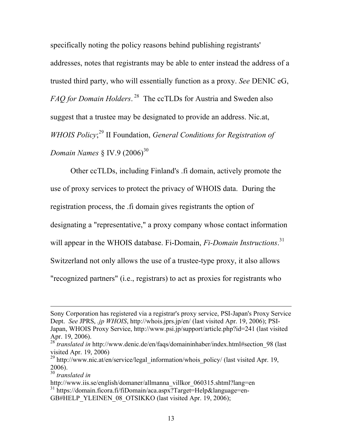specifically noting the policy reasons behind publishing registrants' addresses, notes that registrants may be able to enter instead the address of a trusted third party, who will essentially function as a proxy. *See* DENIC eG, *FAQ for Domain Holders*. <sup>28</sup> The ccTLDs for Austria and Sweden also suggest that a trustee may be designated to provide an address. Nic.at, *WHOIS Policy*; <sup>29</sup> II Foundation, *General Conditions for Registration of Domain Names* § IV.9 (2006)<sup>30</sup>

Other ccTLDs, including Finland's .fi domain, actively promote the use of proxy services to protect the privacy of WHOIS data. During the registration process, the .fi domain gives registrants the option of designating a "representative," a proxy company whose contact information will appear in the WHOIS database. Fi-Domain, *Fi-Domain Instructions*.<sup>31</sup> Switzerland not only allows the use of a trustee-type proxy, it also allows "recognized partners" (i.e., registrars) to act as proxies for registrants who

<u>.</u>

Sony Corporation has registered via a registrar's proxy service, PSI-Japan's Proxy Service Dept. *See* JPRS, *.jp WHOIS*, http://whois.jprs.jp/en/ (last visited Apr. 19, 2006); PSI-Japan, WHOIS Proxy Service, http://www.psi.jp/support/article.php?id=241 (last visited Apr. 19, 2006).

*translated in* http://www.denic.de/en/faqs/domaininhaber/index.html#section 98 (last visited Apr. 19, 2006)

<sup>&</sup>lt;sup>29</sup> http://www.nic.at/en/service/legal\_information/whois\_policy/ (last visited Apr. 19, 2006). <sup>30</sup> *translated in*

http://www.iis.se/english/domaner/allmanna\_villkor\_060315.shtml?lang=en <sup>31</sup> https://domain.ficora.fi/fiDomain/aca.aspx?Target=Help&language=en-GB#HELP\_YLEINEN\_08\_OTSIKKO (last visited Apr. 19, 2006);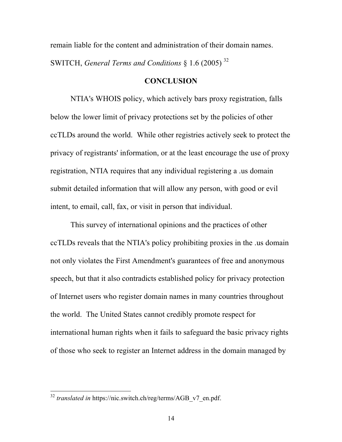remain liable for the content and administration of their domain names. SWITCH, *General Terms and Conditions* § 1.6 (2005) <sup>32</sup>

### **CONCLUSION**

NTIA's WHOIS policy, which actively bars proxy registration, falls below the lower limit of privacy protections set by the policies of other ccTLDs around the world. While other registries actively seek to protect the privacy of registrants' information, or at the least encourage the use of proxy registration, NTIA requires that any individual registering a .us domain submit detailed information that will allow any person, with good or evil intent, to email, call, fax, or visit in person that individual.

This survey of international opinions and the practices of other ccTLDs reveals that the NTIA's policy prohibiting proxies in the .us domain not only violates the First Amendment's guarantees of free and anonymous speech, but that it also contradicts established policy for privacy protection of Internet users who register domain names in many countries throughout the world. The United States cannot credibly promote respect for international human rights when it fails to safeguard the basic privacy rights of those who seek to register an Internet address in the domain managed by

<sup>&</sup>lt;sup>32</sup> *translated in* https://nic.switch.ch/reg/terms/AGB\_v7\_en.pdf.